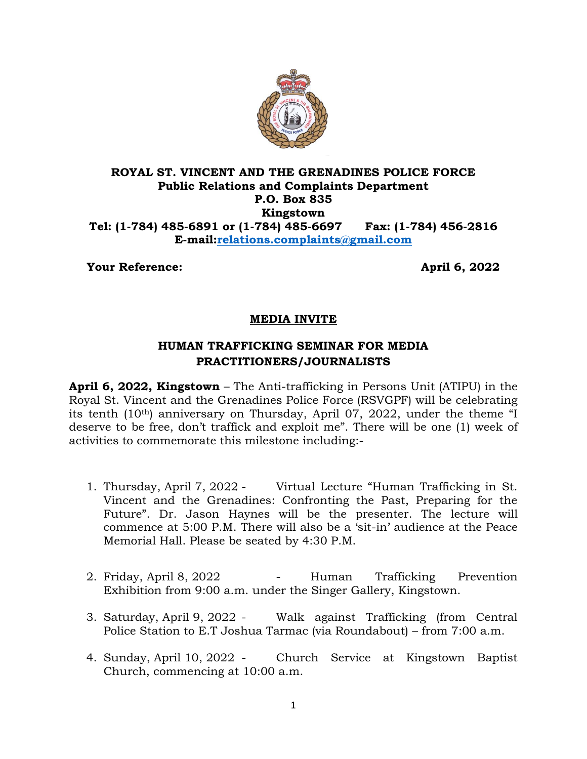

## **ROYAL ST. VINCENT AND THE GRENADINES POLICE FORCE Public Relations and Complaints Department P.O. Box 835 Kingstown Tel: (1-784) 485-6891 or (1-784) 485-6697 Fax: (1-784) 456-2816 E-mail[:relations.complaints@gmail.com](mailto:relations.complaints@gmail.com)**

**Your Reference:** April 6, 2022

## **MEDIA INVITE**

## **HUMAN TRAFFICKING SEMINAR FOR MEDIA PRACTITIONERS/JOURNALISTS**

**April 6, 2022, Kingstown** – The Anti-trafficking in Persons Unit (ATIPU) in the Royal St. Vincent and the Grenadines Police Force (RSVGPF) will be celebrating its tenth (10th) anniversary on Thursday, April 07, 2022, under the theme "I deserve to be free, don't traffick and exploit me". There will be one (1) week of activities to commemorate this milestone including:-

- 1. Thursday, April 7, 2022 Virtual Lecture "Human Trafficking in St. Vincent and the Grenadines: Confronting the Past, Preparing for the Future". Dr. Jason Haynes will be the presenter. The lecture will commence at 5:00 P.M. There will also be a 'sit-in' audience at the Peace Memorial Hall. Please be seated by 4:30 P.M.
- 2. Friday, April 8, 2022 Human Trafficking Prevention Exhibition from 9:00 a.m. under the Singer Gallery, Kingstown.
- 3. Saturday, April 9, 2022 Walk against Trafficking (from Central Police Station to E.T Joshua Tarmac (via Roundabout) – from 7:00 a.m.
- 4. Sunday, April 10, 2022 Church Service at Kingstown Baptist Church, commencing at 10:00 a.m.